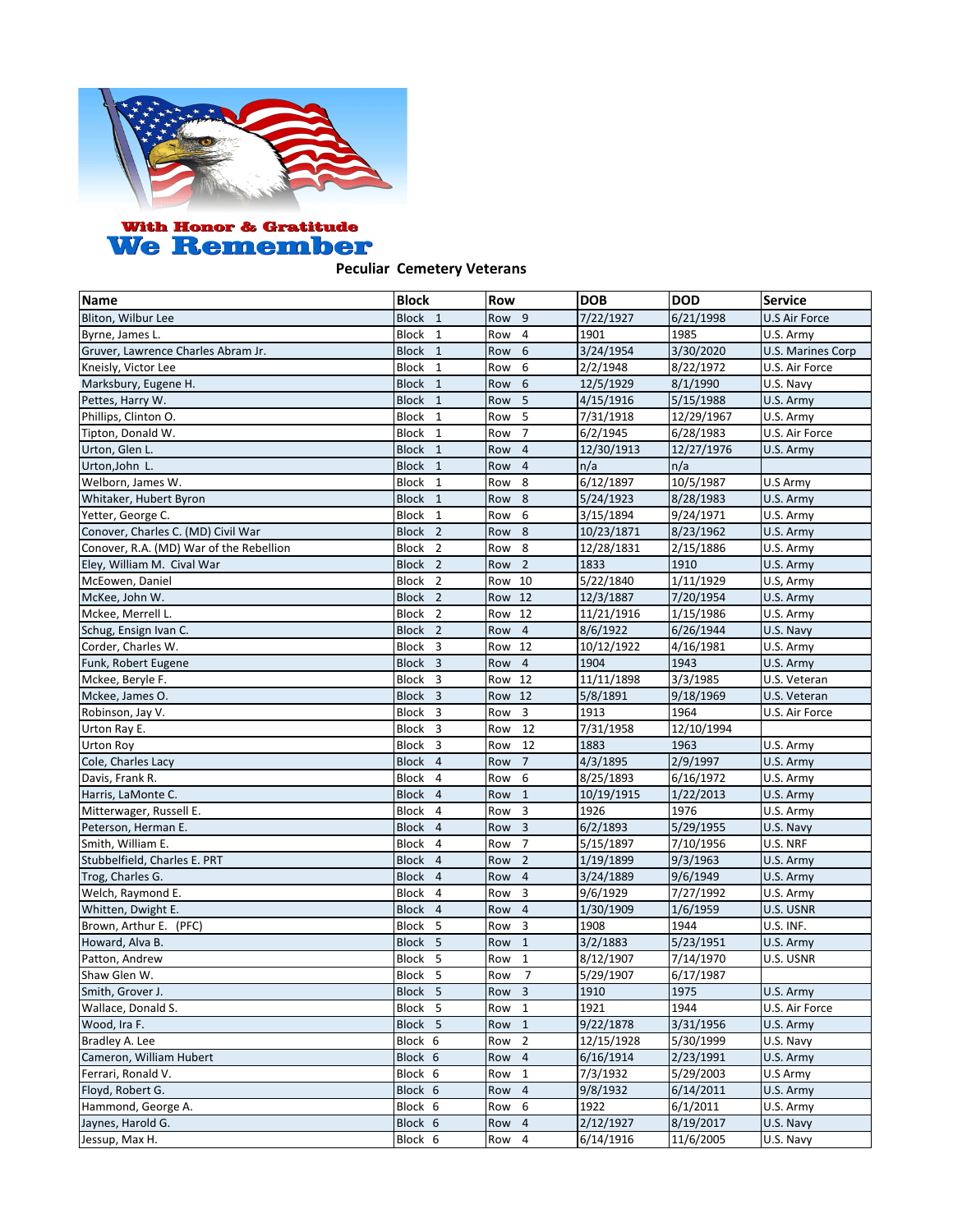

## With Honor & Gratitude<br>We Remember

## **Peculiar Cemetery Veterans**

| <b>Name</b>                             | <b>Block</b>       | <b>Row</b>            | <b>DOB</b> | <b>DOD</b> | <b>Service</b>    |
|-----------------------------------------|--------------------|-----------------------|------------|------------|-------------------|
| Bliton, Wilbur Lee                      | Block 1            | Row 9                 | 7/22/1927  | 6/21/1998  | U.S Air Force     |
| Byrne, James L.                         | Block 1            | Row<br>4              | 1901       | 1985       | U.S. Army         |
| Gruver, Lawrence Charles Abram Jr.      | Block 1            | Row<br>6              | 3/24/1954  | 3/30/2020  | U.S. Marines Corp |
| Kneisly, Victor Lee                     | Block 1            | Row<br>6              | 2/2/1948   | 8/22/1972  | U.S. Air Force    |
| Marksbury, Eugene H.                    | Block 1            | Row<br>6              | 12/5/1929  | 8/1/1990   | U.S. Navy         |
| Pettes, Harry W.                        | Block 1            | 5<br>Row              | 4/15/1916  | 5/15/1988  | U.S. Army         |
| Phillips, Clinton O.                    | Block 1            | 5<br>Row              | 7/31/1918  | 12/29/1967 | U.S. Army         |
| Tipton, Donald W.                       | Block 1            | $\overline{7}$<br>Row | 6/2/1945   | 6/28/1983  | U.S. Air Force    |
| Urton, Glen L.                          | Block 1            | $\overline{4}$<br>Row | 12/30/1913 | 12/27/1976 | U.S. Army         |
| Urton, John L.                          | Block 1            | Row<br>$\overline{4}$ | n/a        | n/a        |                   |
| Welborn, James W.                       | Block 1            | Row<br>8              | 6/12/1897  | 10/5/1987  | U.S Army          |
| Whitaker, Hubert Byron                  | Block 1            | Row<br>8              | 5/24/1923  | 8/28/1983  | U.S. Army         |
| Yetter, George C.                       | Block 1            | Row<br>6              | 3/15/1894  | 9/24/1971  | U.S. Army         |
| Conover, Charles C. (MD) Civil War      | Block <sub>2</sub> | 8<br>Row              | 10/23/1871 | 8/23/1962  | U.S. Army         |
| Conover, R.A. (MD) War of the Rebellion | Block <sub>2</sub> | Row<br>8              | 12/28/1831 | 2/15/1886  | U.S. Army         |
| Eley, William M. Cival War              | Block <sub>2</sub> | $\overline{2}$<br>Row | 1833       | 1910       | U.S. Army         |
| McEowen, Daniel                         | Block <sub>2</sub> | 10<br>Row             | 5/22/1840  | 1/11/1929  | U.S, Army         |
| McKee, John W.                          | Block <sub>2</sub> | 12<br>Row             | 12/3/1887  | 7/20/1954  | U.S. Army         |
| Mckee, Merrell L.                       | Block <sub>2</sub> | Row<br>12             | 11/21/1916 | 1/15/1986  | U.S. Army         |
| Schug, Ensign Ivan C.                   | Block <sub>2</sub> | Row<br>$\overline{4}$ | 8/6/1922   | 6/26/1944  | U.S. Navy         |
| Corder, Charles W.                      | Block 3            | 12<br>Row             | 10/12/1922 | 4/16/1981  | U.S. Army         |
| Funk, Robert Eugene                     | Block 3            | $\overline{4}$<br>Row | 1904       | 1943       | U.S. Army         |
| Mckee, Beryle F.                        | Block 3            | Row<br>12             | 11/11/1898 | 3/3/1985   | U.S. Veteran      |
| Mckee, James O.                         | Block 3            | Row<br>12             | 5/8/1891   | 9/18/1969  | U.S. Veteran      |
| Robinson, Jay V.                        | Block<br>3         | 3<br>Row              | 1913       | 1964       | U.S. Air Force    |
| Urton Ray E.                            | Block 3            | 12<br>Row             | 7/31/1958  | 12/10/1994 |                   |
| Urton Roy                               | Block 3            | Row<br>12             | 1883       | 1963       | U.S. Army         |
| Cole, Charles Lacy                      | Block 4            | $\overline{7}$<br>Row | 4/3/1895   | 2/9/1997   | U.S. Army         |
| Davis, Frank R.                         | Block 4            | 6<br>Row              | 8/25/1893  | 6/16/1972  | U.S. Army         |
| Harris, LaMonte C.                      | Block 4            | Row<br>$\mathbf{1}$   | 10/19/1915 | 1/22/2013  | U.S. Army         |
| Mitterwager, Russell E.                 | Block 4            | Row<br>3              | 1926       | 1976       | U.S. Army         |
| Peterson, Herman E.                     | Block 4            | Row<br>3              | 6/2/1893   | 5/29/1955  | U.S. Navy         |
| Smith, William E.                       | Block 4            | $\overline{7}$<br>Row | 5/15/1897  | 7/10/1956  | U.S. NRF          |
| Stubbelfield, Charles E. PRT            | Block 4            | $\overline{2}$<br>Row | 1/19/1899  | 9/3/1963   | U.S. Army         |
| Trog, Charles G.                        | Block 4            | $\overline{4}$<br>Row | 3/24/1889  | 9/6/1949   | U.S. Army         |
| Welch, Raymond E.                       | Block<br>4         | Row<br>3              | 9/6/1929   | 7/27/1992  | U.S. Army         |
| Whitten, Dwight E.                      | Block 4            | Row<br>$\overline{4}$ | 1/30/1909  | 1/6/1959   | U.S. USNR         |
| Brown, Arthur E. (PFC)                  | Block<br>5         | Row<br>3              | 1908       | 1944       | U.S. INF.         |
| Howard, Alva B.                         | Block 5            | Row<br>$\mathbf{1}$   | 3/2/1883   | 5/23/1951  | U.S. Army         |
| Patton, Andrew                          | Block 5            | Row<br>1              | 8/12/1907  | 7/14/1970  | U.S. USNR         |
| Shaw Glen W.                            | Block 5            | Row<br>$\overline{7}$ | 5/29/1907  | 6/17/1987  |                   |
| Smith, Grover J.                        | Block 5            | 3<br>Row              | 1910       | 1975       | U.S. Army         |
| Wallace, Donald S.                      | Block 5            | $\mathbf{1}$<br>Row   | 1921       | 1944       | U.S. Air Force    |
| Wood, Ira F.                            | Block 5            | Row<br>$\mathbf{1}$   | 9/22/1878  | 3/31/1956  | U.S. Army         |
| Bradley A. Lee                          | Block 6            | $\overline{2}$<br>Row | 12/15/1928 | 5/30/1999  | U.S. Navy         |
| Cameron, William Hubert                 | Block 6            | $\overline{4}$<br>Row | 6/16/1914  | 2/23/1991  | U.S. Army         |
| Ferrari, Ronald V.                      | Block 6            | $\mathbf{1}$<br>Row   | 7/3/1932   | 5/29/2003  | U.S Army          |
| Floyd, Robert G.                        | Block 6            | Row 4                 | 9/8/1932   | 6/14/2011  | U.S. Army         |
| Hammond, George A.                      | Block 6            | Row 6                 | 1922       | 6/1/2011   | U.S. Army         |
| Jaynes, Harold G.                       | Block 6            | Row<br>4              | 2/12/1927  | 8/19/2017  | U.S. Navy         |
| Jessup, Max H.                          | Block 6            | Row 4                 | 6/14/1916  | 11/6/2005  | U.S. Navy         |